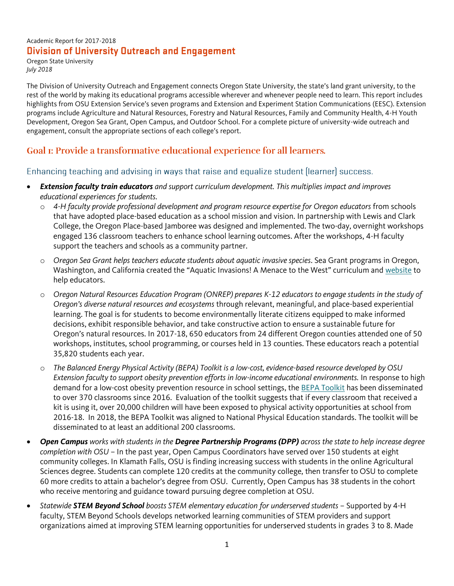#### Academic Report for 2017-2018 **Division of University Outreach and Engagement**

Oregon State University *July 2018*

The Division of University Outreach and Engagement connects Oregon State University, the state's land grant university, to the rest of the world by making its educational programs accessible wherever and whenever people need to learn. This report includes highlights from OSU Extension Service's seven programs and Extension and Experiment Station Communications (EESC). Extension programs include Agriculture and Natural Resources, Forestry and Natural Resources, Family and Community Health, 4-H Youth Development, Oregon Sea Grant, Open Campus, and Outdoor School. For a complete picture of university-wide outreach and engagement, consult the appropriate sections of each college's report.

# Goal I: Provide a transformative educational experience for all learners.

### Enhancing teaching and advising in ways that raise and equalize student (learner) success.

- *Extension faculty train educators and support curriculum development. This multiplies impact and improves educational experiences for students.*
	- o *4-H faculty provide professional development and program resource expertise for Oregon educators* from schools that have adopted place-based education as a school mission and vision. In partnership with Lewis and Clark College, the Oregon Place-based Jamboree was designed and implemented. The two-day, overnight workshops engaged 136 classroom teachers to enhance school learning outcomes. After the workshops, 4-H faculty support the teachers and schools as a community partner.
	- o *Oregon Sea Grant helps teachers educate students about aquatic invasive species*. Sea Grant programs in Oregon, Washington, and California created the "Aquatic Invasions! A Menace to the West" curriculum and [website](http://seagrant.oregonstate.edu/menacetothewest) to help educators.
	- o *Oregon Natural Resources Education Program (ONREP) prepares K-12 educators to engage students in the study of Oregon's diverse natural resources and ecosystems* through relevant, meaningful, and place-based experiential learning. The goal is for students to become environmentally literate citizens equipped to make informed decisions, exhibit responsible behavior, and take constructive action to ensure a sustainable future for Oregon's natural resources. In 2017-18, 650 educators from 24 different Oregon counties attended one of 50 workshops, institutes, school programming, or courses held in 13 counties. These educators reach a potential 35,820 students each year.
	- o *The Balanced Energy Physical Activity (BEPA) Toolkit is a low-cost, evidence-based resource developed by OSU Extension faculty to support obesity prevention efforts in low-income educational environments.* In response to high demand for a low-cost obesity prevention resource in school settings, the [BEPA Toolkit](https://growhkc.extension.oregonstate.edu/tools/bepa) has been disseminated to over 370 classrooms since 2016. Evaluation of the toolkit suggests that if every classroom that received a kit is using it, over 20,000 children will have been exposed to physical activity opportunities at school from 2016-18. In 2018, the BEPA Toolkit was aligned to National Physical Education standards. The toolkit will be disseminated to at least an additional 200 classrooms.
- *Open Campus works with students in the Degree Partnership Programs (DPP) across the state to help increase degree completion with OSU* – In the past year, Open Campus Coordinators have served over 150 students at eight community colleges. In Klamath Falls, OSU is finding increasing success with students in the online Agricultural Sciences degree. Students can complete 120 credits at the community college, then transfer to OSU to complete 60 more credits to attain a bachelor's degree from OSU. Currently, Open Campus has 38 students in the cohort who receive mentoring and guidance toward pursuing degree completion at OSU.
- *Statewide STEM Beyond School boosts STEM elementary education for underserved students* Supported by 4-H faculty, STEM Beyond Schools develops networked learning communities of STEM providers and support organizations aimed at improving STEM learning opportunities for underserved students in grades 3 to 8. Made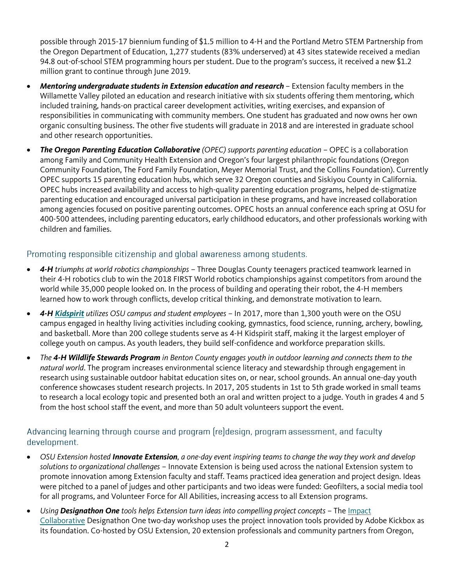possible through 2015-17 biennium funding of \$1.5 million to 4-H and the Portland Metro STEM Partnership from the Oregon Department of Education, 1,277 students (83% underserved) at 43 sites statewide received a median 94.8 out-of-school STEM programming hours per student. Due to the program's success, it received a new \$1.2 million grant to continue through June 2019.

- *Mentoring undergraduate students in Extension education and research* Extension faculty members in the Willamette Valley piloted an education and research initiative with six students offering them mentoring, which included training, hands-on practical career development activities, writing exercises, and expansion of responsibilities in communicating with community members. One student has graduated and now owns her own organic consulting business. The other five students will graduate in 2018 and are interested in graduate school and other research opportunities.
- *The Oregon Parenting Education Collaborative (OPEC) supports parenting education* OPEC is a collaboration among Family and Community Health Extension and Oregon's four largest philanthropic foundations (Oregon Community Foundation, The Ford Family Foundation, Meyer Memorial Trust, and the Collins Foundation). Currently OPEC supports 15 parenting education hubs, which serve 32 Oregon counties and Siskiyou County in California. OPEC hubs increased availability and access to high-quality parenting education programs, helped de-stigmatize parenting education and encouraged universal participation in these programs, and have increased collaboration among agencies focused on positive parenting outcomes. OPEC hosts an annual conference each spring at OSU for 400-500 attendees, including parenting educators, early childhood educators, and other professionals working with children and families.

#### Promoting responsible citizenship and global awareness among students.

- *4-H triumphs at world robotics championships* Three Douglas County teenagers practiced teamwork learned in their 4-H robotics club to win the 2018 FIRST World robotics championships against competitors from around the world while 35,000 people looked on. In the process of building and operating their robot, the 4-H members learned how to work through conflicts, develop critical thinking, and demonstrate motivation to learn.
- *4-H [Kidspirit](http://kidspirit.oregonstate.edu/) utilizes OSU campus and student employees* In 2017, more than 1,300 youth were on the OSU campus engaged in healthy living activities including cooking, gymnastics, food science, running, archery, bowling, and basketball. More than 200 college students serve as 4-H Kidspirit staff, making it the largest employer of college youth on campus. As youth leaders, they build self-confidence and workforce preparation skills.
- *The 4-H Wildlife Stewards Program in Benton County engages youth in outdoor learning and connects them to the natural world*. The program increases environmental science literacy and stewardship through engagement in research using sustainable outdoor habitat education sites on, or near, school grounds. An annual one-day youth conference showcases student research projects. In 2017, 205 students in 1st to 5th grade worked in small teams to research a local ecology topic and presented both an oral and written project to a judge. Youth in grades 4 and 5 from the host school staff the event, and more than 50 adult volunteers support the event.

## Advancing learning through course and program (re)design, program assessment, and faculty development.

- *OSU Extension hosted Innovate Extension, a one-day event inspiring teams to change the way they work and develop solutions to organizational challenges* – Innovate Extension is being used across the national Extension system to promote innovation among Extension faculty and staff. Teams practiced idea generation and project design. Ideas were pitched to a panel of judges and other participants and two ideas were funded: Geofilters, a social media tool for all programs, and Volunteer Force for All Abilities, increasing access to all Extension programs.
- *Using Designathon One tools helps Extension turn ideas into compelling project concepts*  The [Impact](https://www.extension.org/impact-collaborative/)  [Collaborative](https://www.extension.org/impact-collaborative/) Designathon One two-day workshop uses the project innovation tools provided by Adobe Kickbox as its foundation. Co-hosted by OSU Extension, 20 extension professionals and community partners from Oregon,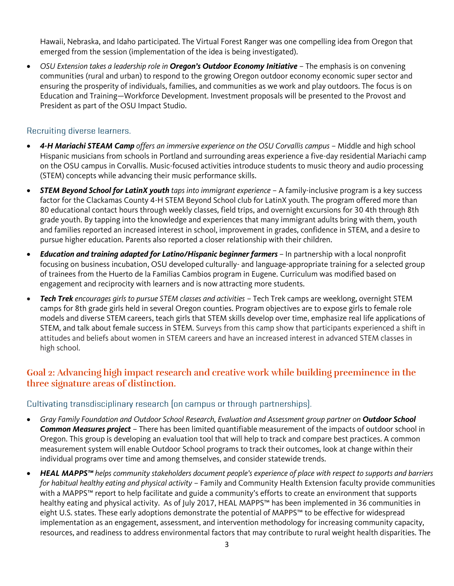Hawaii, Nebraska, and Idaho participated. The Virtual Forest Ranger was one compelling idea from Oregon that emerged from the session (implementation of the idea is being investigated).

 *OSU Extension takes a leadership role in Oregon's Outdoor Economy Initiative* – The emphasis is on convening communities (rural and urban) to respond to the growing Oregon outdoor economy economic super sector and ensuring the prosperity of individuals, families, and communities as we work and play outdoors. The focus is on Education and Training—Workforce Development. Investment proposals will be presented to the Provost and President as part of the OSU Impact Studio.

### Recruiting diverse learners.

- *4-H Mariachi STEAM Camp offers an immersive experience on the OSU Corvallis campus* Middle and high school Hispanic musicians from schools in Portland and surrounding areas experience a five-day residential Mariachi camp on the OSU campus in Corvallis. Music-focused activities introduce students to music theory and audio processing (STEM) concepts while advancing their music performance skills.
- *STEM Beyond School for LatinX youth taps into immigrant experience* A family-inclusive program is a key success factor for the Clackamas County 4-H STEM Beyond School club for LatinX youth. The program offered more than 80 educational contact hours through weekly classes, field trips, and overnight excursions for 30 4th through 8th grade youth. By tapping into the knowledge and experiences that many immigrant adults bring with them, youth and families reported an increased interest in school, improvement in grades, confidence in STEM, and a desire to pursue higher education. Parents also reported a closer relationship with their children.
- *Education and training adapted for Latino/Hispanic beginner farmers* In partnership with a local nonprofit focusing on business incubation, OSU developed culturally- and language-appropriate training for a selected group of trainees from the Huerto de la Familias Cambios program in Eugene. Curriculum was modified based on engagement and reciprocity with learners and is now attracting more students.
- *Tech Trek encourages girls to pursue STEM classes and activities* Tech Trek camps are weeklong, overnight STEM camps for 8th grade girls held in several Oregon counties. Program objectives are to expose girls to female role models and diverse STEM careers, teach girls that STEM skills develop over time, emphasize real life applications of STEM, and talk about female success in STEM. Surveys from this camp show that participants experienced a shift in attitudes and beliefs about women in STEM careers and have an increased interest in advanced STEM classes in high school.

# Goal 2: Advancing high impact research and creative work while building preeminence in the three signature areas of distinction.

## Cultivating transdisciplinary research (on campus or through partnerships).

- *Gray Family Foundation and Outdoor School Research, Evaluation and Assessment group partner on Outdoor School Common Measures project* – There has been limited quantifiable measurement of the impacts of outdoor school in Oregon. This group is developing an evaluation tool that will help to track and compare best practices. A common measurement system will enable Outdoor School programs to track their outcomes, look at change within their individual programs over time and among themselves, and consider statewide trends.
- *HEAL MAPPS™ helps community stakeholders document people's experience of place with respect to supports and barriers for habitual healthy eating and physical activity* – Family and Community Health Extension faculty provide communities with a MAPPS™ report to help facilitate and guide a community's efforts to create an environment that supports healthy eating and physical activity. As of July 2017, HEAL MAPPS™ has been implemented in 36 communities in eight U.S. states. These early adoptions demonstrate the potential of MAPPS™ to be effective for widespread implementation as an engagement, assessment, and intervention methodology for increasing community capacity, resources, and readiness to address environmental factors that may contribute to rural weight health disparities. The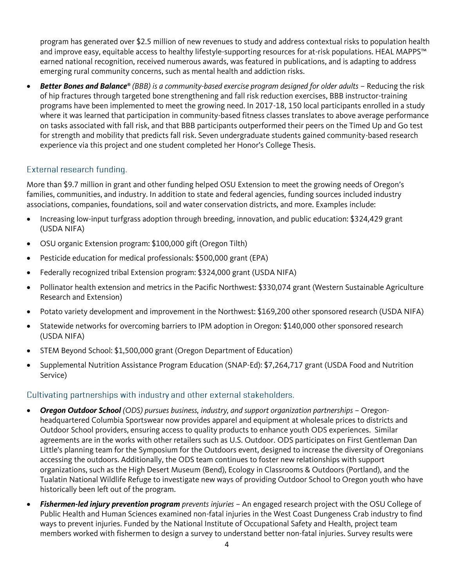program has generated over \$2.5 million of new revenues to study and address contextual risks to population health and improve easy, equitable access to healthy lifestyle-supporting resources for at-risk populations. HEAL MAPPS™ earned national recognition, received numerous awards, was featured in publications, and is adapting to address emerging rural community concerns, such as mental health and addiction risks.

 *Better Bones and Balance® (BBB) is a community-based exercise program designed for older adults* – Reducing the risk of hip fractures through targeted bone strengthening and fall risk reduction exercises, BBB instructor-training programs have been implemented to meet the growing need. In 2017-18, 150 local participants enrolled in a study where it was learned that participation in community-based fitness classes translates to above average performance on tasks associated with fall risk, and that BBB participants outperformed their peers on the Timed Up and Go test for strength and mobility that predicts fall risk. Seven undergraduate students gained community-based research experience via this project and one student completed her Honor's College Thesis.

#### External research funding.

More than \$9.7 million in grant and other funding helped OSU Extension to meet the growing needs of Oregon's families, communities, and industry. In addition to state and federal agencies, funding sources included industry associations, companies, foundations, soil and water conservation districts, and more. Examples include:

- Increasing low-input turfgrass adoption through breeding, innovation, and public education: \$324,429 grant (USDA NIFA)
- OSU organic Extension program: \$100,000 gift (Oregon Tilth)
- Pesticide education for medical professionals: \$500,000 grant (EPA)
- Federally recognized tribal Extension program: \$324,000 grant (USDA NIFA)
- Pollinator health extension and metrics in the Pacific Northwest: \$330,074 grant (Western Sustainable Agriculture Research and Extension)
- Potato variety development and improvement in the Northwest: \$169,200 other sponsored research (USDA NIFA)
- Statewide networks for overcoming barriers to IPM adoption in Oregon: \$140,000 other sponsored research (USDA NIFA)
- STEM Beyond School: \$1,500,000 grant (Oregon Department of Education)
- Supplemental Nutrition Assistance Program Education (SNAP-Ed): \$7,264,717 grant (USDA Food and Nutrition Service)

#### Cultivating partnerships with industry and other external stakeholders.

- *Oregon Outdoor School (ODS) pursues business, industry, and support organization partnerships* Oregonheadquartered Columbia Sportswear now provides apparel and equipment at wholesale prices to districts and Outdoor School providers, ensuring access to quality products to enhance youth ODS experiences. Similar agreements are in the works with other retailers such as U.S. Outdoor. ODS participates on First Gentleman Dan Little's planning team for the Symposium for the Outdoors event, designed to increase the diversity of Oregonians accessing the outdoors. Additionally, the ODS team continues to foster new relationships with support organizations, such as the High Desert Museum (Bend), Ecology in Classrooms & Outdoors (Portland), and the Tualatin National Wildlife Refuge to investigate new ways of providing Outdoor School to Oregon youth who have historically been left out of the program.
- *Fishermen-led injury prevention program prevents injuries* An engaged research project with the OSU College of Public Health and Human Sciences examined non-fatal injuries in the West Coast Dungeness Crab industry to find ways to prevent injuries. Funded by the National Institute of Occupational Safety and Health, project team members worked with fishermen to design a survey to understand better non-fatal injuries. Survey results were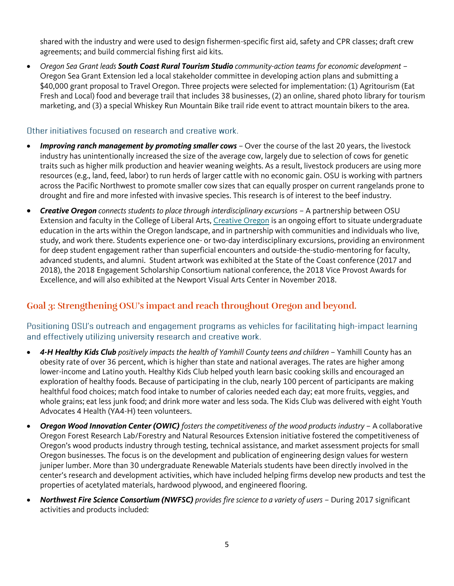shared with the industry and were used to design fishermen-specific first aid, safety and CPR classes; draft crew agreements; and build commercial fishing first aid kits.

 *Oregon Sea Grant leads South Coast Rural Tourism Studio community-action teams for economic development* – Oregon Sea Grant Extension led a local stakeholder committee in developing action plans and submitting a \$40,000 grant proposal to Travel Oregon. Three projects were selected for implementation: (1) Agritourism (Eat Fresh and Local) food and beverage trail that includes 38 businesses, (2) an online, shared photo library for tourism marketing, and (3) a special Whiskey Run Mountain Bike trail ride event to attract mountain bikers to the area.

### Other initiatives focused on research and creative work.

- *Improving ranch management by promoting smaller cows* Over the course of the last 20 years, the livestock industry has unintentionally increased the size of the average cow, largely due to selection of cows for genetic traits such as higher milk production and heavier weaning weights. As a result, livestock producers are using more resources (e.g., land, feed, labor) to run herds of larger cattle with no economic gain. OSU is working with partners across the Pacific Northwest to promote smaller cow sizes that can equally prosper on current rangelands prone to drought and fire and more infested with invasive species. This research is of interest to the beef industry.
- *Creative Oregon connects students to place through interdisciplinary excursions* A partnership between OSU Extension and faculty in the College of Liberal Arts, [Creative Oregon](http://outreach.oregonstate.edu/creative-oregon) is an ongoing effort to situate undergraduate education in the arts within the Oregon landscape, and in partnership with communities and individuals who live, study, and work there. Students experience one- or two-day interdisciplinary excursions, providing an environment for deep student engagement rather than superficial encounters and outside-the-studio-mentoring for faculty, advanced students, and alumni. Student artwork was exhibited at the State of the Coast conference (2017 and 2018), the 2018 Engagement Scholarship Consortium national conference, the 2018 Vice Provost Awards for Excellence, and will also exhibited at the Newport Visual Arts Center in November 2018.

# Goal 3: Strengthening OSU's impact and reach throughout Oregon and beyond.

Positioning OSU's outreach and engagement programs as vehicles for facilitating high-impact learning and effectively utilizing university research and creative work.

- *4-H Healthy Kids Club positively impacts the health of Yamhill County teens and children* Yamhill County has an obesity rate of over 36 percent, which is higher than state and national averages. The rates are higher among lower-income and Latino youth. Healthy Kids Club helped youth learn basic cooking skills and encouraged an exploration of healthy foods. Because of participating in the club, nearly 100 percent of participants are making healthful food choices; match food intake to number of calories needed each day; eat more fruits, veggies, and whole grains; eat less junk food; and drink more water and less soda. The Kids Club was delivered with eight Youth Advocates 4 Health (YA4-H) teen volunteers.
- *Oregon Wood Innovation Center (OWIC) fosters the competitiveness of the wood products industry* A collaborative Oregon Forest Research Lab/Forestry and Natural Resources Extension initiative fostered the competitiveness of Oregon's wood products industry through testing, technical assistance, and market assessment projects for small Oregon businesses. The focus is on the development and publication of engineering design values for western juniper lumber. More than 30 undergraduate Renewable Materials students have been directly involved in the center's research and development activities, which have included helping firms develop new products and test the properties of acetylated materials, hardwood plywood, and engineered flooring.
- *Northwest Fire Science Consortium (NWFSC) provides fire science to a variety of users* During 2017 significant activities and products included: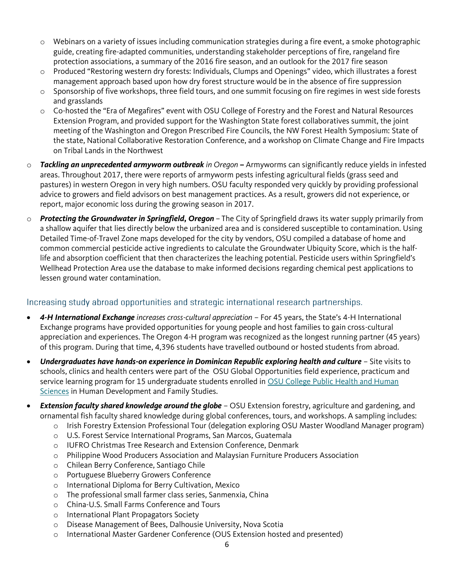- o Webinars on a variety of issues including communication strategies during a fire event, a smoke photographic guide, creating fire-adapted communities, understanding stakeholder perceptions of fire, rangeland fire protection associations, a summary of the 2016 fire season, and an outlook for the 2017 fire season
- Produced "Restoring western dry forests: Individuals, Clumps and Openings" video, which illustrates a forest management approach based upon how dry forest structure would be in the absence of fire suppression
- o Sponsorship of five workshops, three field tours, and one summit focusing on fire regimes in west side forests and grasslands
- o Co-hosted the "Era of Megafires" event with OSU College of Forestry and the Forest and Natural Resources Extension Program, and provided support for the Washington State forest collaboratives summit, the joint meeting of the Washington and Oregon Prescribed Fire Councils, the NW Forest Health Symposium: State of the state, National Collaborative Restoration Conference, and a workshop on Climate Change and Fire Impacts on Tribal Lands in the Northwest
- o *Tackling an unprecedented armyworm outbreak in Oregon* **–** Armyworms can significantly reduce yields in infested areas. Throughout 2017, there were reports of armyworm pests infesting agricultural fields (grass seed and pastures) in western Oregon in very high numbers. OSU faculty responded very quickly by providing professional advice to growers and field advisors on best management practices. As a result, growers did not experience, or report, major economic loss during the growing season in 2017.
- o *Protecting the Groundwater in Springfield, Oregon* The City of Springfield draws its water supply primarily from a shallow aquifer that lies directly below the urbanized area and is considered susceptible to contamination. Using Detailed Time-of-Travel Zone maps developed for the city by vendors, OSU compiled a database of home and common commercial pesticide active ingredients to calculate the Groundwater Ubiquity Score, which is the halflife and absorption coefficient that then characterizes the leaching potential. Pesticide users within Springfield's Wellhead Protection Area use the database to make informed decisions regarding chemical pest applications to lessen ground water contamination.

## Increasing study abroad opportunities and strategic international research partnerships.

- *4-H International Exchange increases cross-cultural appreciation* For 45 years, the State's 4-H International Exchange programs have provided opportunities for young people and host families to gain cross-cultural appreciation and experiences. The Oregon 4-H program was recognized as the longest running partner (45 years) of this program. During that time, 4,396 students have travelled outbound or hosted students from abroad.
- *Undergraduates have hands-on experience in Dominican Republic exploring health and culture* Site visits to schools, clinics and health centers were part of the OSU Global Opportunities field experience, practicum and service learning program for 15 undergraduate students enrolled in OSU College Public Health and Human [Sciences](http://international.oregonstate.edu/office-global-opportunities/programs/dominican-republic/osu-faculty-led-exploring-health-and-culture-dominican-republic) in Human Development and Family Studies.
- *Extension faculty shared knowledge around the globe* OSU Extension forestry, agriculture and gardening, and ornamental fish faculty shared knowledge during global conferences, tours, and workshops. A sampling includes:
	- o Irish Forestry Extension Professional Tour (delegation exploring OSU Master Woodland Manager program)
	- o U.S. Forest Service International Programs, San Marcos, Guatemala
	- o IUFRO Christmas Tree Research and Extension Conference, Denmark
	- o Philippine Wood Producers Association and Malaysian Furniture Producers Association
	- o Chilean Berry Conference, Santiago Chile
	- o Portuguese Blueberry Growers Conference
	- o International Diploma for Berry Cultivation, Mexico
	- o The professional small farmer class series, Sanmenxia, China
	- o China-U.S. Small Farms Conference and Tours
	- o International Plant Propagators Society
	- o Disease Management of Bees, Dalhousie University, Nova Scotia
	- o International Master Gardener Conference (OUS Extension hosted and presented)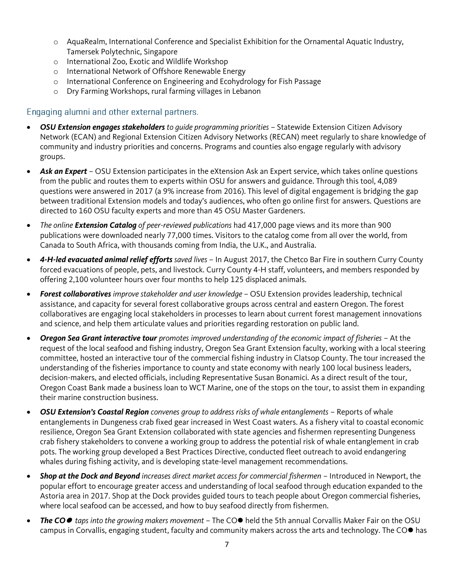- o AquaRealm, International Conference and Specialist Exhibition for the Ornamental Aquatic Industry, Tamersek Polytechnic, Singapore
- o International Zoo, Exotic and Wildlife Workshop
- o International Network of Offshore Renewable Energy
- o International Conference on Engineering and Ecohydrology for Fish Passage
- o Dry Farming Workshops, rural farming villages in Lebanon

### Engaging alumni and other external partners.

- *OSU Extension engages stakeholders to guide programming priorities* Statewide Extension Citizen Advisory Network (ECAN) and Regional Extension Citizen Advisory Networks (RECAN) meet regularly to share knowledge of community and industry priorities and concerns. Programs and counties also engage regularly with advisory groups.
- *Ask an Expert* OSU Extension participates in the eXtension Ask an Expert service, which takes online questions from the public and routes them to experts within OSU for answers and guidance. Through this tool, 4,089 questions were answered in 2017 (a 9% increase from 2016). This level of digital engagement is bridging the gap between traditional Extension models and today's audiences, who often go online first for answers. Questions are directed to 160 OSU faculty experts and more than 45 OSU Master Gardeners.
- *The online Extension Catalog of peer-reviewed publications* had 417,000 page views and its more than 900 publications were downloaded nearly 77,000 times. Visitors to the catalog come from all over the world, from Canada to South Africa, with thousands coming from India, the U.K., and Australia.
- *4-H-led evacuated animal relief efforts saved lives* In August 2017, the Chetco Bar Fire in southern Curry County forced evacuations of people, pets, and livestock. Curry County 4-H staff, volunteers, and members responded by offering 2,100 volunteer hours over four months to help 125 displaced animals.
- *Forest collaboratives improve stakeholder and user knowledge* OSU Extension provides leadership, technical assistance, and capacity for several forest collaborative groups across central and eastern Oregon. The forest collaboratives are engaging local stakeholders in processes to learn about current forest management innovations and science, and help them articulate values and priorities regarding restoration on public land.
- *Oregon Sea Grant interactive tour promotes improved understanding of the economic impact of fisheries* At the request of the local seafood and fishing industry, Oregon Sea Grant Extension faculty, working with a local steering committee, hosted an interactive tour of the commercial fishing industry in Clatsop County. The tour increased the understanding of the fisheries importance to county and state economy with nearly 100 local business leaders, decision-makers, and elected officials, including Representative Susan Bonamici. As a direct result of the tour, Oregon Coast Bank made a business loan to WCT Marine, one of the stops on the tour, to assist them in expanding their marine construction business.
- *OSU Extension's Coastal Region convenes group to address risks of whale entanglements* Reports of whale entanglements in Dungeness crab fixed gear increased in West Coast waters. As a fishery vital to coastal economic resilience, Oregon Sea Grant Extension collaborated with state agencies and fishermen representing Dungeness crab fishery stakeholders to convene a working group to address the potential risk of whale entanglement in crab pots. The working group developed a Best Practices Directive, conducted fleet outreach to avoid endangering whales during fishing activity, and is developing state-level management recommendations.
- *Shop at the Dock and Beyond increases direct market access for commercial fishermen* Introduced in Newport, the popular effort to encourage greater access and understanding of local seafood through education expanded to the Astoria area in 2017. Shop at the Dock provides guided tours to teach people about Oregon commercial fisheries, where local seafood can be accessed, and how to buy seafood directly from fishermen.
- The CO<sup></sup> taps into the growing makers movement The CO<sup></sup> held the 5th annual Corvallis Maker Fair on the OSU campus in Corvallis, engaging student, faculty and community makers across the arts and technology. The CO<sup>+</sup> has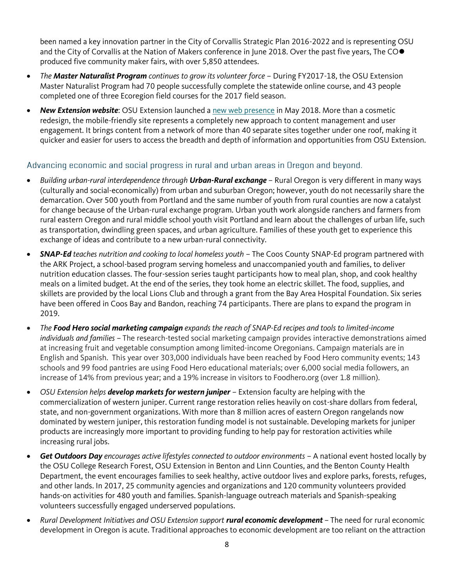been named a key innovation partner in the City of Corvallis Strategic Plan 2016-2022 and is representing OSU and the City of Corvallis at the Nation of Makers conference in June 2018. Over the past five years, The COO produced five community maker fairs, with over 5,850 attendees.

- *The Master Naturalist Program continues to grow its volunteer force* During FY2017-18, the OSU Extension Master Naturalist Program had 70 people successfully complete the statewide online course, and 43 people completed one of three Ecoregion field courses for the 2017 field season.
- *New Extension website*: OSU Extension launched [a new web presence](https://extension.oregonstate.edu/) in May 2018. More than a cosmetic redesign, the mobile-friendly site represents a completely new approach to content management and user engagement. It brings content from a network of more than 40 separate sites together under one roof, making it quicker and easier for users to access the breadth and depth of information and opportunities from OSU Extension.

### Advancing economic and social progress in rural and urban areas in Oregon and beyond.

- *Building urban-rural interdependence through Urban-Rural exchange* Rural Oregon is very different in many ways (culturally and social-economically) from urban and suburban Oregon; however, youth do not necessarily share the demarcation. Over 500 youth from Portland and the same number of youth from rural counties are now a catalyst for change because of the Urban-rural exchange program. Urban youth work alongside ranchers and farmers from rural eastern Oregon and rural middle school youth visit Portland and learn about the challenges of urban life, such as transportation, dwindling green spaces, and urban agriculture. Families of these youth get to experience this exchange of ideas and contribute to a new urban-rural connectivity.
- *SNAP-Ed teaches nutrition and cooking to local homeless youth* The Coos County SNAP-Ed program partnered with the ARK Project, a school-based program serving homeless and unaccompanied youth and families, to deliver nutrition education classes. The four-session series taught participants how to meal plan, shop, and cook healthy meals on a limited budget. At the end of the series, they took home an electric skillet. The food, supplies, and skillets are provided by the local Lions Club and through a grant from the Bay Area Hospital Foundation. Six series have been offered in Coos Bay and Bandon, reaching 74 participants. There are plans to expand the program in 2019.
- *The Food Hero social marketing campaign expands the reach of SNAP-Ed recipes and tools to limited-income individuals and families* – The research-tested social marketing campaign provides interactive demonstrations aimed at increasing fruit and vegetable consumption among limited-income Oregonians. Campaign materials are in English and Spanish. This year over 303,000 individuals have been reached by Food Hero community events; 143 schools and 99 food pantries are using Food Hero educational materials; over 6,000 social media followers, an increase of 14% from previous year; and a 19% increase in visitors to Foodhero.org (over 1.8 million).
- *OSU Extension helps develop markets for western juniper* Extension faculty are helping with the commercialization of western juniper. Current range restoration relies heavily on cost-share dollars from federal, state, and non-government organizations. With more than 8 million acres of eastern Oregon rangelands now dominated by western juniper, this restoration funding model is not sustainable. Developing markets for juniper products are increasingly more important to providing funding to help pay for restoration activities while increasing rural jobs.
- *Get Outdoors Day encourages active lifestyles connected to outdoor environments* A national event hosted locally by the OSU College Research Forest, OSU Extension in Benton and Linn Counties, and the Benton County Health Department, the event encourages families to seek healthy, active outdoor lives and explore parks, forests, refuges, and other lands. In 2017, 25 community agencies and organizations and 120 community volunteers provided hands-on activities for 480 youth and families. Spanish-language outreach materials and Spanish-speaking volunteers successfully engaged underserved populations.
- *Rural Development Initiatives and OSU Extension support rural economic development* The need for rural economic development in Oregon is acute. Traditional approaches to economic development are too reliant on the attraction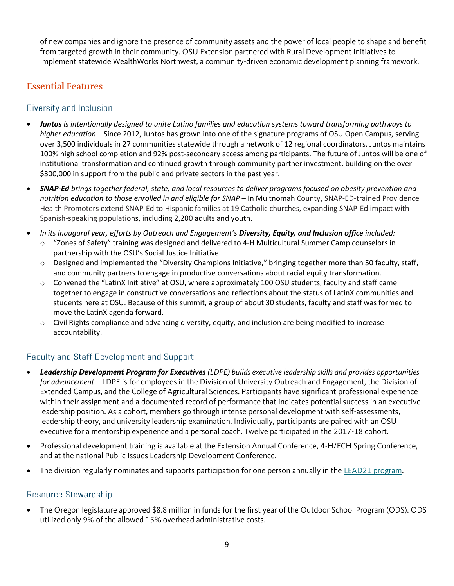of new companies and ignore the presence of community assets and the power of local people to shape and benefit from targeted growth in their community. OSU Extension partnered with Rural Development Initiatives to implement statewide WealthWorks Northwest, a community-driven economic development planning framework.

# **Essential Features**

## Diversity and Inclusion

- *Juntos is intentionally designed to unite Latino families and education systems toward transforming pathways to higher education* – Since 2012, Juntos has grown into one of the signature programs of OSU Open Campus, serving over 3,500 individuals in 27 communities statewide through a network of 12 regional coordinators. Juntos maintains 100% high school completion and 92% post-secondary access among participants. The future of Juntos will be one of institutional transformation and continued growth through community partner investment, building on the over \$300,000 in support from the public and private sectors in the past year.
- *SNAP-Ed brings together federal, state, and local resources to deliver programs focused on obesity prevention and nutrition education to those enrolled in and eligible for SNAP* – In Multnomah County**,** SNAP-ED-trained Providence Health Promoters extend SNAP-Ed to Hispanic families at 19 Catholic churches, expanding SNAP-Ed impact with Spanish-speaking populations, including 2,200 adults and youth.
- *In its inaugural year, efforts by Outreach and Engagement's Diversity, Equity, and Inclusion office included:* o "Zones of Safety" training was designed and delivered to 4-H Multicultural Summer Camp counselors in partnership with the OSU's Social Justice Initiative.
	- o Designed and implemented the "Diversity Champions Initiative," bringing together more than 50 faculty, staff, and community partners to engage in productive conversations about racial equity transformation.
	- o Convened the "LatinX Initiative" at OSU, where approximately 100 OSU students, faculty and staff came together to engage in constructive conversations and reflections about the status of LatinX communities and students here at OSU. Because of this summit, a group of about 30 students, faculty and staff was formed to move the LatinX agenda forward.
	- o Civil Rights compliance and advancing diversity, equity, and inclusion are being modified to increase accountability.

# **Faculty and Staff Development and Support**

- *Leadership Development Program for Executives (LDPE) builds executive leadership skills and provides opportunities for advancement* – LDPE is for employees in the Division of University Outreach and Engagement, the Division of Extended Campus, and the College of Agricultural Sciences. Participants have significant professional experience within their assignment and a documented record of performance that indicates potential success in an executive leadership position. As a cohort, members go through intense personal development with self-assessments, leadership theory, and university leadership examination. Individually, participants are paired with an OSU executive for a mentorship experience and a personal coach. Twelve participated in the 2017-18 cohort.
- Professional development training is available at the Extension Annual Conference, 4-H/FCH Spring Conference, and at the national Public Issues Leadership Development Conference.
- The division regularly nominates and supports participation for one person annually in the [LEAD21 program.](http://lead-21.org/)

## Resource Stewardship

 The Oregon legislature approved \$8.8 million in funds for the first year of the Outdoor School Program (ODS). ODS utilized only 9% of the allowed 15% overhead administrative costs.